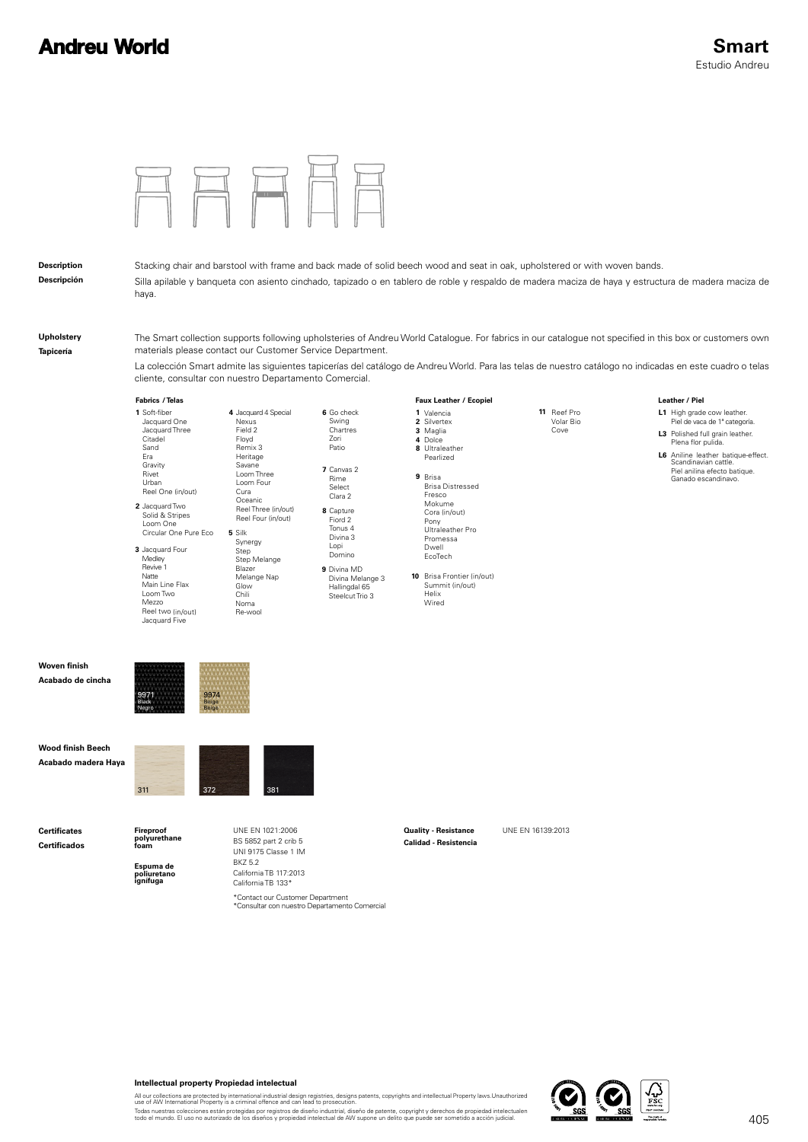## **Andreu World**



#### **Intellectual property Propiedad intelectual**

All our collections are protected by international industrial design registries, designs patents, copyrights and intellectual Property laws.Unauthorized<br>use of AW International Property is a criminal offence and can lead t

Todas nuestras colecciones están protegidas por registros de diseño industrial, diseño de patente, copyright y derechos de propiedad intelectualen<br>todo el mundo. El uso no autorizado de los diseños y propiedad intelectual

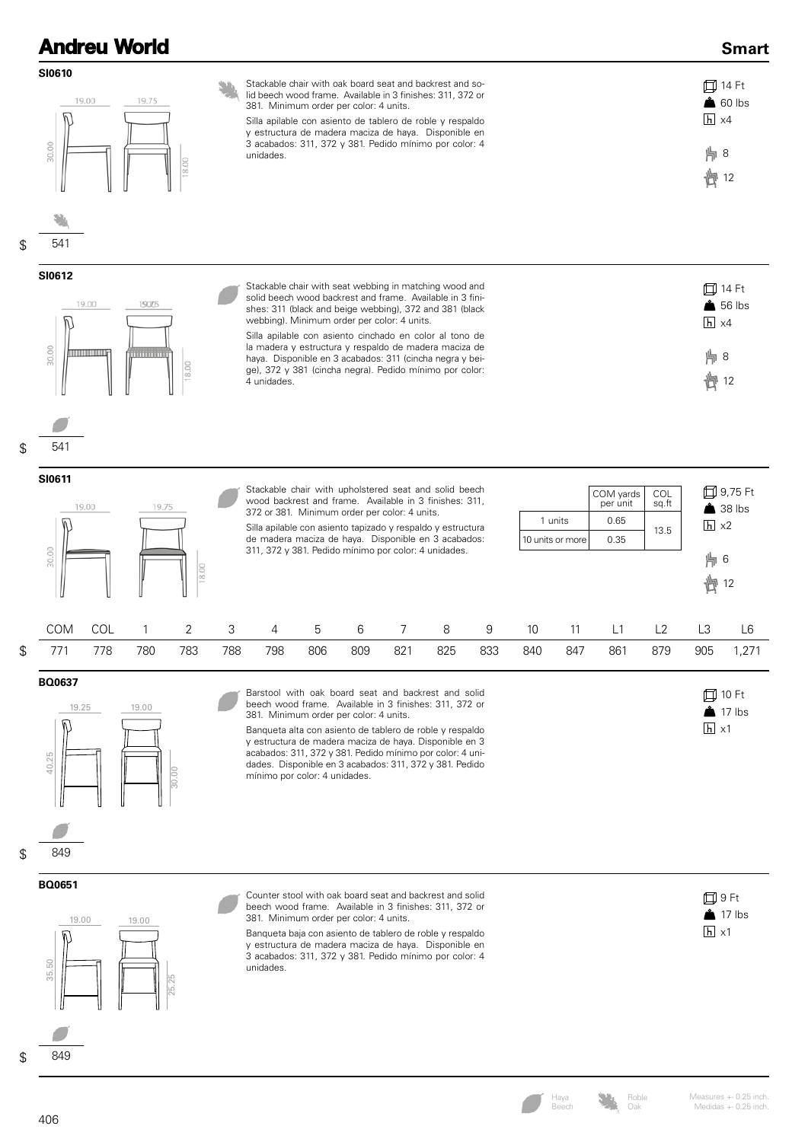|                          |                                                                                                                                                                                                                                                                                                                                                                                                                                                                           | <b>Andreu World</b>    |       |     |                                                                                                                                                                                                                                                                                                                                                                                                                                                                                         |     |     |     |     |     |                                                                         |     |     |     |                                 | <b>Smart</b>                         |
|--------------------------|---------------------------------------------------------------------------------------------------------------------------------------------------------------------------------------------------------------------------------------------------------------------------------------------------------------------------------------------------------------------------------------------------------------------------------------------------------------------------|------------------------|-------|-----|-----------------------------------------------------------------------------------------------------------------------------------------------------------------------------------------------------------------------------------------------------------------------------------------------------------------------------------------------------------------------------------------------------------------------------------------------------------------------------------------|-----|-----|-----|-----|-----|-------------------------------------------------------------------------|-----|-----|-----|---------------------------------|--------------------------------------|
| SI0610<br>30.00          | 19.00                                                                                                                                                                                                                                                                                                                                                                                                                                                                     | 19.75                  | 18.00 |     | Stackable chair with oak board seat and backrest and so-<br>lid beech wood frame. Available in 3 finishes: 311, 372 or<br>381. Minimum order per color: 4 units.<br>Silla apilable con asiento de tablero de roble y respaldo<br>y estructura de madera maciza de haya. Disponible en<br>3 acabados: 311, 372 y 381. Pedido mínimo por color: 4<br>unidades.                                                                                                                            |     |     |     |     |     |                                                                         |     |     |     | $\overline{h}$ x4<br>片8<br>廿 12 | 口 14 Ft<br>$\triangle$ 60 lbs        |
| \$<br>541                |                                                                                                                                                                                                                                                                                                                                                                                                                                                                           |                        |       |     |                                                                                                                                                                                                                                                                                                                                                                                                                                                                                         |     |     |     |     |     |                                                                         |     |     |     |                                 |                                      |
| SI0612<br>30.00          | 19.00<br><u>TITLE TITLE TITLE</u>                                                                                                                                                                                                                                                                                                                                                                                                                                         | 150705<br><u>ummun</u> | 18.00 |     | Stackable chair with seat webbing in matching wood and<br>solid beech wood backrest and frame. Available in 3 fini-<br>shes: 311 (black and beige webbing), 372 and 381 (black<br>webbing). Minimum order per color: 4 units.<br>Silla apilable con asiento cinchado en color al tono de<br>la madera y estructura y respaldo de madera maciza de<br>haya. Disponible en 3 acabados: 311 (cincha negra y bei-<br>ge), 372 y 381 (cincha negra). Pedido mínimo por color:<br>4 unidades. |     |     |     |     |     |                                                                         |     |     |     | $h \times 4$<br>片8<br>廿         | 口 14 Ft<br>$\triangle$ 56 lbs<br>12  |
| \$<br>541                |                                                                                                                                                                                                                                                                                                                                                                                                                                                                           |                        |       |     |                                                                                                                                                                                                                                                                                                                                                                                                                                                                                         |     |     |     |     |     |                                                                         |     |     |     |                                 |                                      |
| SI0611<br>30.00          | Stackable chair with upholstered seat and solid beech<br>COM yards<br>COL<br>wood backrest and frame. Available in 3 finishes: 311,<br>per unit<br>sq.ft<br>19.00<br>19.75<br>372 or 381. Minimum order per color: 4 units.<br>1 units<br>0.65<br>Silla apilable con asiento tapizado y respaldo y estructura<br>13.5<br>de madera maciza de haya. Disponible en 3 acabados:<br>0.35<br>10 units or more<br>311, 372 y 381. Pedido mínimo por color: 4 unidades.<br>18.00 |                        |       |     |                                                                                                                                                                                                                                                                                                                                                                                                                                                                                         |     |     |     |     |     | 口 9,75 Ft<br>$\triangle$ 38 lbs<br>$\overline{h}$ x2<br>   6<br>卣<br>12 |     |     |     |                                 |                                      |
| COM                      | COL                                                                                                                                                                                                                                                                                                                                                                                                                                                                       | 1                      | 2     | 3   | 4                                                                                                                                                                                                                                                                                                                                                                                                                                                                                       | 5   | 6   | 7   | 8   | 9   | 10                                                                      | 11  | L1  | L2  | L3                              | L <sub>6</sub>                       |
| \$<br>771                | 778                                                                                                                                                                                                                                                                                                                                                                                                                                                                       | 780                    | 783   | 788 | 798                                                                                                                                                                                                                                                                                                                                                                                                                                                                                     | 806 | 809 | 821 | 825 | 833 | 840                                                                     | 847 | 861 | 879 | 905                             | 1,271                                |
| BQ0637<br>19.25<br>40.25 |                                                                                                                                                                                                                                                                                                                                                                                                                                                                           | 19.00                  | 30.00 |     | Barstool with oak board seat and backrest and solid<br>beech wood frame. Available in 3 finishes: 311, 372 or<br>381. Minimum order per color: 4 units.<br>Banqueta alta con asiento de tablero de roble y respaldo<br>y estructura de madera maciza de haya. Disponible en 3<br>acabados: 311, 372 y 381. Pedido mínimo por color: 4 uni-<br>dades. Disponible en 3 acabados: 311, 372 y 381. Pedido<br>mínimo por color: 4 unidades.                                                  |     |     |     |     |     |                                                                         |     |     |     | $\overline{h}$ x1               | <b>□ 10 Ft</b><br>$\triangle$ 17 lbs |
| \$<br>849                |                                                                                                                                                                                                                                                                                                                                                                                                                                                                           |                        |       |     |                                                                                                                                                                                                                                                                                                                                                                                                                                                                                         |     |     |     |     |     |                                                                         |     |     |     |                                 |                                      |
| BQ0651<br>19.00<br>35.50 |                                                                                                                                                                                                                                                                                                                                                                                                                                                                           | 19.00                  | 25.25 |     | Counter stool with oak board seat and backrest and solid<br>beech wood frame. Available in 3 finishes: 311, 372 or<br>381. Minimum order per color: 4 units.<br>Banqueta baja con asiento de tablero de roble y respaldo<br>y estructura de madera maciza de haya. Disponible en<br>3 acabados: 311, 372 y 381. Pedido mínimo por color: 4<br>unidades.                                                                                                                                 |     |     |     |     |     |                                                                         |     |     |     | $h \times 1$                    | 口9Ft<br>$\triangle$ 17 lbs           |
| 849                      |                                                                                                                                                                                                                                                                                                                                                                                                                                                                           |                        |       |     |                                                                                                                                                                                                                                                                                                                                                                                                                                                                                         |     |     |     |     |     |                                                                         |     |     |     |                                 |                                      |

Roble Oak

Haya Beech

Measures +- 0.25 inch. Medidas +- 0.25 inch.